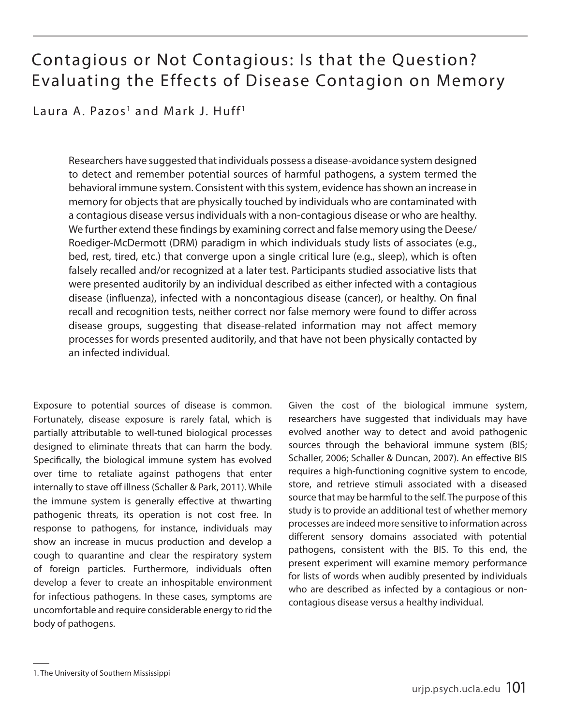# Contagious or Not Contagious: Is that the Question? Evaluating the Effects of Disease Contagion on Memory

Laura A. Pazos<sup>1</sup> and Mark J. Huff<sup>1</sup>

Researchers have suggested that individuals possess a disease-avoidance system designed to detect and remember potential sources of harmful pathogens, a system termed the behavioral immune system. Consistent with this system, evidence has shown an increase in memory for objects that are physically touched by individuals who are contaminated with a contagious disease versus individuals with a non-contagious disease or who are healthy. We further extend these findings by examining correct and false memory using the Deese/ Roediger-McDermott (DRM) paradigm in which individuals study lists of associates (e.g., bed, rest, tired, etc.) that converge upon a single critical lure (e.g., sleep), which is often falsely recalled and/or recognized at a later test. Participants studied associative lists that were presented auditorily by an individual described as either infected with a contagious disease (influenza), infected with a noncontagious disease (cancer), or healthy. On final recall and recognition tests, neither correct nor false memory were found to differ across disease groups, suggesting that disease-related information may not affect memory processes for words presented auditorily, and that have not been physically contacted by an infected individual.

Exposure to potential sources of disease is common. Fortunately, disease exposure is rarely fatal, which is partially attributable to well-tuned biological processes designed to eliminate threats that can harm the body. Specifically, the biological immune system has evolved over time to retaliate against pathogens that enter internally to stave off illness (Schaller & Park, 2011). While the immune system is generally effective at thwarting pathogenic threats, its operation is not cost free. In response to pathogens, for instance, individuals may show an increase in mucus production and develop a cough to quarantine and clear the respiratory system of foreign particles. Furthermore, individuals often develop a fever to create an inhospitable environment for infectious pathogens. In these cases, symptoms are uncomfortable and require considerable energy to rid the body of pathogens.

Given the cost of the biological immune system, researchers have suggested that individuals may have evolved another way to detect and avoid pathogenic sources through the behavioral immune system (BIS; Schaller, 2006; Schaller & Duncan, 2007). An effective BIS requires a high-functioning cognitive system to encode, store, and retrieve stimuli associated with a diseased source that may be harmful to the self. The purpose of this study is to provide an additional test of whether memory processes are indeed more sensitive to information across different sensory domains associated with potential pathogens, consistent with the BIS. To this end, the present experiment will examine memory performance for lists of words when audibly presented by individuals who are described as infected by a contagious or noncontagious disease versus a healthy individual.

<sup>1.</sup> The University of Southern Mississippi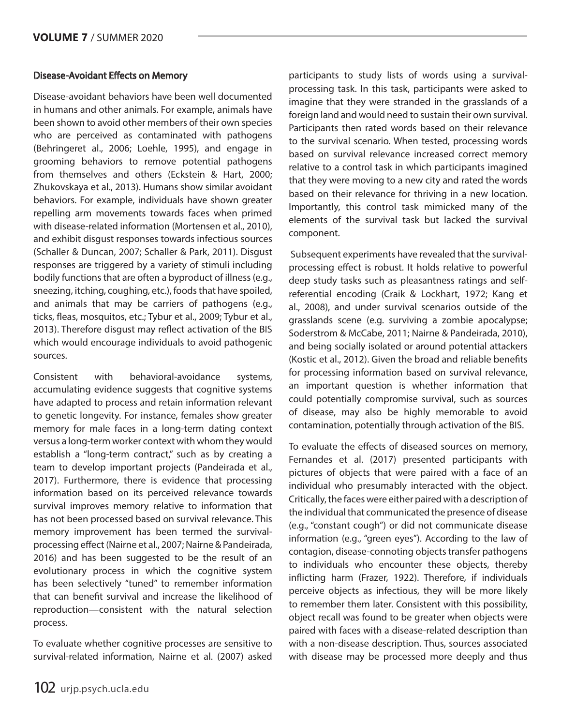### Disease-Avoidant Effects on Memory

Disease-avoidant behaviors have been well documented in humans and other animals. For example, animals have been shown to avoid other members of their own species who are perceived as contaminated with pathogens (Behringeret al., 2006; Loehle, 1995), and engage in grooming behaviors to remove potential pathogens from themselves and others (Eckstein & Hart, 2000; Zhukovskaya et al., 2013). Humans show similar avoidant behaviors. For example, individuals have shown greater repelling arm movements towards faces when primed with disease-related information (Mortensen et al., 2010), and exhibit disgust responses towards infectious sources (Schaller & Duncan, 2007; Schaller & Park, 2011). Disgust responses are triggered by a variety of stimuli including bodily functions that are often a byproduct of illness (e.g., sneezing, itching, coughing, etc.), foods that have spoiled, and animals that may be carriers of pathogens (e.g., ticks, fleas, mosquitos, etc.; Tybur et al., 2009; Tybur et al., 2013). Therefore disgust may reflect activation of the BIS which would encourage individuals to avoid pathogenic sources.

Consistent with behavioral-avoidance systems, accumulating evidence suggests that cognitive systems have adapted to process and retain information relevant to genetic longevity. For instance, females show greater memory for male faces in a long-term dating context versus a long-term worker context with whom they would establish a "long-term contract," such as by creating a team to develop important projects (Pandeirada et al., 2017). Furthermore, there is evidence that processing information based on its perceived relevance towards survival improves memory relative to information that has not been processed based on survival relevance. This memory improvement has been termed the survivalprocessing effect (Nairne et al., 2007; Nairne & Pandeirada, 2016) and has been suggested to be the result of an evolutionary process in which the cognitive system has been selectively "tuned" to remember information that can benefit survival and increase the likelihood of reproduction—consistent with the natural selection process.

To evaluate whether cognitive processes are sensitive to survival-related information, Nairne et al. (2007) asked

participants to study lists of words using a survivalprocessing task. In this task, participants were asked to imagine that they were stranded in the grasslands of a foreign land and would need to sustain their own survival. Participants then rated words based on their relevance to the survival scenario. When tested, processing words based on survival relevance increased correct memory relative to a control task in which participants imagined that they were moving to a new city and rated the words based on their relevance for thriving in a new location. Importantly, this control task mimicked many of the elements of the survival task but lacked the survival component.

 Subsequent experiments have revealed that the survivalprocessing effect is robust. It holds relative to powerful deep study tasks such as pleasantness ratings and selfreferential encoding (Craik & Lockhart, 1972; Kang et al., 2008), and under survival scenarios outside of the grasslands scene (e.g. surviving a zombie apocalypse; Soderstrom & McCabe, 2011; Nairne & Pandeirada, 2010), and being socially isolated or around potential attackers (Kostic et al., 2012). Given the broad and reliable benefits for processing information based on survival relevance, an important question is whether information that could potentially compromise survival, such as sources of disease, may also be highly memorable to avoid contamination, potentially through activation of the BIS.

To evaluate the effects of diseased sources on memory, Fernandes et al. (2017) presented participants with pictures of objects that were paired with a face of an individual who presumably interacted with the object. Critically, the faces were either paired with a description of the individual that communicated the presence of disease (e.g., "constant cough") or did not communicate disease information (e.g., "green eyes"). According to the law of contagion, disease-connoting objects transfer pathogens to individuals who encounter these objects, thereby inflicting harm (Frazer, 1922). Therefore, if individuals perceive objects as infectious, they will be more likely to remember them later. Consistent with this possibility, object recall was found to be greater when objects were paired with faces with a disease-related description than with a non-disease description. Thus, sources associated with disease may be processed more deeply and thus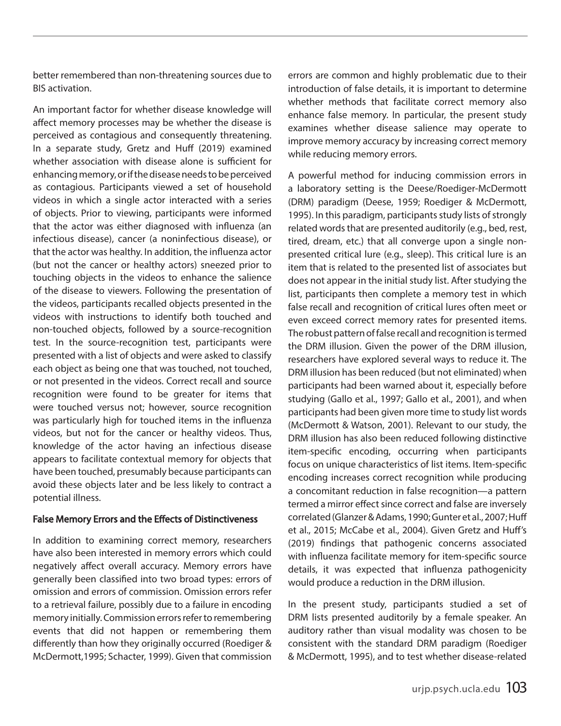better remembered than non-threatening sources due to BIS activation.

An important factor for whether disease knowledge will affect memory processes may be whether the disease is perceived as contagious and consequently threatening. In a separate study, Gretz and Huff (2019) examined whether association with disease alone is sufficient for enhancing memory, or if the disease needs to be perceived as contagious. Participants viewed a set of household videos in which a single actor interacted with a series of objects. Prior to viewing, participants were informed that the actor was either diagnosed with influenza (an infectious disease), cancer (a noninfectious disease), or that the actor was healthy. In addition, the influenza actor (but not the cancer or healthy actors) sneezed prior to touching objects in the videos to enhance the salience of the disease to viewers. Following the presentation of the videos, participants recalled objects presented in the videos with instructions to identify both touched and non-touched objects, followed by a source-recognition test. In the source-recognition test, participants were presented with a list of objects and were asked to classify each object as being one that was touched, not touched, or not presented in the videos. Correct recall and source recognition were found to be greater for items that were touched versus not; however, source recognition was particularly high for touched items in the influenza videos, but not for the cancer or healthy videos. Thus, knowledge of the actor having an infectious disease appears to facilitate contextual memory for objects that have been touched, presumably because participants can avoid these objects later and be less likely to contract a potential illness.

#### False Memory Errors and the Effects of Distinctiveness

In addition to examining correct memory, researchers have also been interested in memory errors which could negatively affect overall accuracy. Memory errors have generally been classified into two broad types: errors of omission and errors of commission. Omission errors refer to a retrieval failure, possibly due to a failure in encoding memory initially. Commission errors refer to remembering events that did not happen or remembering them differently than how they originally occurred (Roediger & McDermott,1995; Schacter, 1999). Given that commission

errors are common and highly problematic due to their introduction of false details, it is important to determine whether methods that facilitate correct memory also enhance false memory. In particular, the present study examines whether disease salience may operate to improve memory accuracy by increasing correct memory while reducing memory errors.

A powerful method for inducing commission errors in a laboratory setting is the Deese/Roediger-McDermott (DRM) paradigm (Deese, 1959; Roediger & McDermott, 1995). In this paradigm, participants study lists of strongly related words that are presented auditorily (e.g., bed, rest, tired, dream, etc.) that all converge upon a single nonpresented critical lure (e.g., sleep). This critical lure is an item that is related to the presented list of associates but does not appear in the initial study list. After studying the list, participants then complete a memory test in which false recall and recognition of critical lures often meet or even exceed correct memory rates for presented items. The robust pattern of false recall and recognition is termed the DRM illusion. Given the power of the DRM illusion, researchers have explored several ways to reduce it. The DRM illusion has been reduced (but not eliminated) when participants had been warned about it, especially before studying (Gallo et al., 1997; Gallo et al., 2001), and when participants had been given more time to study list words (McDermott & Watson, 2001). Relevant to our study, the DRM illusion has also been reduced following distinctive item-specific encoding, occurring when participants focus on unique characteristics of list items. Item-specific encoding increases correct recognition while producing a concomitant reduction in false recognition—a pattern termed a mirror effect since correct and false are inversely correlated (Glanzer & Adams, 1990; Gunter et al., 2007; Huff et al., 2015; McCabe et al., 2004). Given Gretz and Huff's (2019) findings that pathogenic concerns associated with influenza facilitate memory for item-specific source details, it was expected that influenza pathogenicity would produce a reduction in the DRM illusion.

In the present study, participants studied a set of DRM lists presented auditorily by a female speaker. An auditory rather than visual modality was chosen to be consistent with the standard DRM paradigm (Roediger & McDermott, 1995), and to test whether disease-related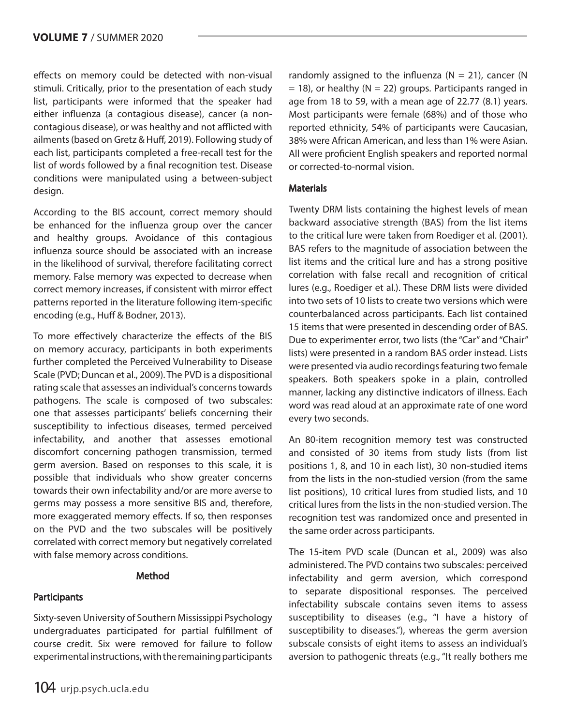effects on memory could be detected with non-visual stimuli. Critically, prior to the presentation of each study list, participants were informed that the speaker had either influenza (a contagious disease), cancer (a noncontagious disease), or was healthy and not afflicted with ailments (based on Gretz & Huff, 2019). Following study of each list, participants completed a free-recall test for the list of words followed by a final recognition test. Disease conditions were manipulated using a between-subject design.

According to the BIS account, correct memory should be enhanced for the influenza group over the cancer and healthy groups. Avoidance of this contagious influenza source should be associated with an increase in the likelihood of survival, therefore facilitating correct memory. False memory was expected to decrease when correct memory increases, if consistent with mirror effect patterns reported in the literature following item-specific encoding (e.g., Huff & Bodner, 2013).

To more effectively characterize the effects of the BIS on memory accuracy, participants in both experiments further completed the Perceived Vulnerability to Disease Scale (PVD; Duncan et al., 2009). The PVD is a dispositional rating scale that assesses an individual's concerns towards pathogens. The scale is composed of two subscales: one that assesses participants' beliefs concerning their susceptibility to infectious diseases, termed perceived infectability, and another that assesses emotional discomfort concerning pathogen transmission, termed germ aversion. Based on responses to this scale, it is possible that individuals who show greater concerns towards their own infectability and/or are more averse to germs may possess a more sensitive BIS and, therefore, more exaggerated memory effects. If so, then responses on the PVD and the two subscales will be positively correlated with correct memory but negatively correlated with false memory across conditions.

### Method

## **Participants**

Sixty-seven University of Southern Mississippi Psychology undergraduates participated for partial fulfillment of course credit. Six were removed for failure to follow experimental instructions, with the remaining participants randomly assigned to the influenza ( $N = 21$ ), cancer (N  $= 18$ ), or healthy (N  $= 22$ ) groups. Participants ranged in age from 18 to 59, with a mean age of 22.77 (8.1) years. Most participants were female (68%) and of those who reported ethnicity, 54% of participants were Caucasian, 38% were African American, and less than 1% were Asian. All were proficient English speakers and reported normal or corrected-to-normal vision.

### **Materials**

Twenty DRM lists containing the highest levels of mean backward associative strength (BAS) from the list items to the critical lure were taken from Roediger et al. (2001). BAS refers to the magnitude of association between the list items and the critical lure and has a strong positive correlation with false recall and recognition of critical lures (e.g., Roediger et al.). These DRM lists were divided into two sets of 10 lists to create two versions which were counterbalanced across participants. Each list contained 15 items that were presented in descending order of BAS. Due to experimenter error, two lists (the "Car" and "Chair" lists) were presented in a random BAS order instead. Lists were presented via audio recordings featuring two female speakers. Both speakers spoke in a plain, controlled manner, lacking any distinctive indicators of illness. Each word was read aloud at an approximate rate of one word every two seconds.

An 80-item recognition memory test was constructed and consisted of 30 items from study lists (from list positions 1, 8, and 10 in each list), 30 non-studied items from the lists in the non-studied version (from the same list positions), 10 critical lures from studied lists, and 10 critical lures from the lists in the non-studied version. The recognition test was randomized once and presented in the same order across participants.

The 15-item PVD scale (Duncan et al., 2009) was also administered. The PVD contains two subscales: perceived infectability and germ aversion, which correspond to separate dispositional responses. The perceived infectability subscale contains seven items to assess susceptibility to diseases (e.g., "I have a history of susceptibility to diseases."), whereas the germ aversion subscale consists of eight items to assess an individual's aversion to pathogenic threats (e.g., "It really bothers me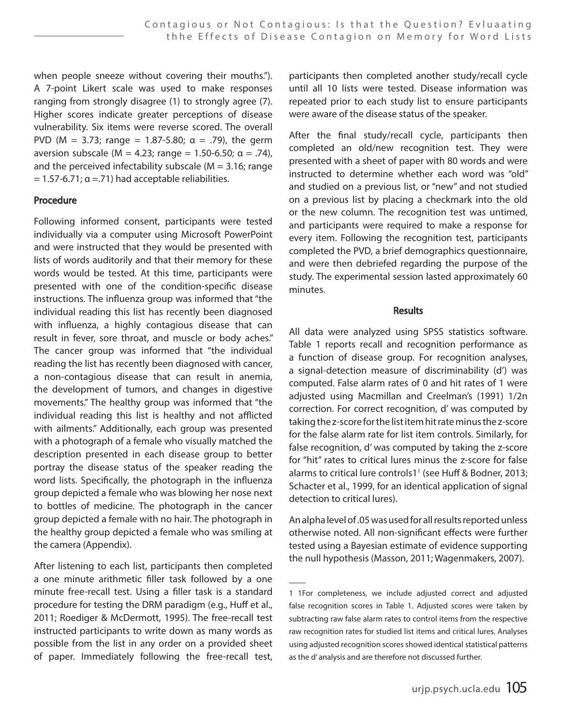when people sneeze without covering their mouths."). A 7-point Likert scale was used to make responses ranging from strongly disagree (1) to strongly agree (7). Higher scores indicate greater perceptions of disease vulnerability. Six items were reverse scored. The overall PVD ( $M = 3.73$ ; range = 1.87-5.80;  $\alpha = .79$ ), the germ aversion subscale ( $M = 4.23$ ; range = 1.50-6.50; α = .74), and the perceived infectability subscale ( $M = 3.16$ ; range  $= 1.57 - 6.71$ ;  $\alpha = 71$ ) had acceptable reliabilities.

#### Procedure

Following informed consent, participants were tested individually via a computer using Microsoft PowerPoint and were instructed that they would be presented with lists of words auditorily and that their memory for these words would be tested. At this time, participants were presented with one of the condition-specific disease instructions. The influenza group was informed that "the individual reading this list has recently been diagnosed with influenza, a highly contagious disease that can result in fever, sore throat, and muscle or body aches." The cancer group was informed that "the individual reading the list has recently been diagnosed with cancer, a non-contagious disease that can result in anemia, the development of tumors, and changes in digestive movements." The healthy group was informed that "the individual reading this list is healthy and not afflicted with ailments." Additionally, each group was presented with a photograph of a female who visually matched the description presented in each disease group to better portray the disease status of the speaker reading the word lists. Specifically, the photograph in the influenza group depicted a female who was blowing her nose next to bottles of medicine. The photograph in the cancer group depicted a female with no hair. The photograph in the healthy group depicted a female who was smiling at the camera (Appendix).

After listening to each list, participants then completed a one minute arithmetic filler task followed by a one minute free-recall test. Using a filler task is a standard procedure for testing the DRM paradigm (e.g., Huff et al., 2011; Roediger & McDermott, 1995). The free-recall test instructed participants to write down as many words as possible from the list in any order on a provided sheet of paper. Immediately following the free-recall test,

participants then completed another study/recall cycle until all 10 lists were tested. Disease information was repeated prior to each study list to ensure participants were aware of the disease status of the speaker.

After the final study/recall cycle, participants then completed an old/new recognition test. They were presented with a sheet of paper with 80 words and were instructed to determine whether each word was "old" and studied on a previous list, or "new" and not studied on a previous list by placing a checkmark into the old or the new column. The recognition test was untimed, and participants were required to make a response for every item. Following the recognition test, participants completed the PVD, a brief demographics questionnaire, and were then debriefed regarding the purpose of the study. The experimental session lasted approximately 60 minutes.

### **Results**

All data were analyzed using SPSS statistics software. Table 1 reports recall and recognition performance as a function of disease group. For recognition analyses, a signal-detection measure of discriminability (d') was computed. False alarm rates of 0 and hit rates of 1 were adjusted using Macmillan and Creelman's (1991) 1/2n correction. For correct recognition, d' was computed by taking the z-score for the list item hit rate minus the z-score for the false alarm rate for list item controls. Similarly, for false recognition, d' was computed by taking the z-score for "hit" rates to critical lures minus the z-score for false alarms to critical lure controls1<sup>1</sup> (see Huff & Bodner, 2013; Schacter et al., 1999, for an identical application of signal detection to critical lures).

An alpha level of .05 was used for all results reported unless otherwise noted. All non-significant effects were further tested using a Bayesian estimate of evidence supporting the null hypothesis (Masson, 2011; Wagenmakers, 2007).

<sup>1 1</sup>For completeness, we include adjusted correct and adjusted false recognition scores in Table 1. Adjusted scores were taken by subtracting raw false alarm rates to control items from the respective raw recognition rates for studied list items and critical lures. Analyses using adjusted recognition scores showed identical statistical patterns as the d' analysis and are therefore not discussed further.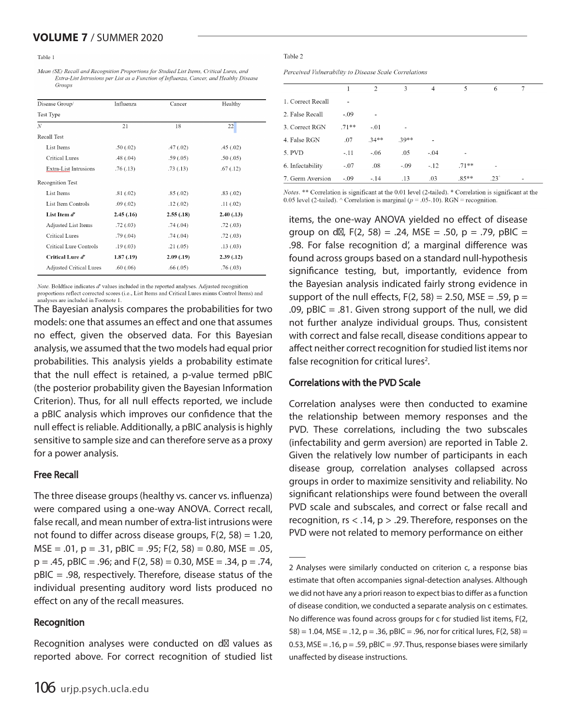#### Table 1

Mean (SE) Recall and Recognition Proportions for Studied List Items, Critical Lures, and Extra-List Intrusions per List as a Function of Influenza, Cancer, and Healthy Disease Groups

| Influenza  | Cancer     | Healthy    |
|------------|------------|------------|
|            |            |            |
| 21         | 18         | 22         |
|            |            |            |
| .50(.02)   | .47(02)    | .45(.02)   |
| .48(.04)   | .59(.05)   | .50(0.05)  |
| .76(0.13)  | .73(.13)   | .67(.12)   |
|            |            |            |
| .81(.02)   | .85(.02)   | .83(.02)   |
| .09(0.02)  | .12(0.02)  | .11(02)    |
| 2.45(0.16) | 2.55(.18)  | 2.40(0.13) |
| .72(.03)   | .74(.04)   | .72(0.03)  |
| .79(0.04)  | .74(.04)   | .72(0.03)  |
| .19(0.03)  | .21(.05)   | .13(0.03)  |
| 1.87(0.19) | 2.09(0.19) | 2.39(0.12) |
| .60(.06)   | .66(0.05)  | .76(.03)   |
|            |            |            |

Note. Boldface indicates d' values included in the reported analyses. Adjusted recognition proportions reflect corrected scores (i.e., List Items and Critical Lures minus Control Items) and analyses are included in Footnote 1.

The Bayesian analysis compares the probabilities for two models: one that assumes an effect and one that assumes no effect, given the observed data. For this Bayesian analysis, we assumed that the two models had equal prior probabilities. This analysis yields a probability estimate that the null effect is retained, a p-value termed pBIC (the posterior probability given the Bayesian Information Criterion). Thus, for all null effects reported, we include a pBIC analysis which improves our confidence that the null effect is reliable. Additionally, a pBIC analysis is highly sensitive to sample size and can therefore serve as a proxy for a power analysis.

#### Free Recall

The three disease groups (healthy vs. cancer vs. influenza) were compared using a one-way ANOVA. Correct recall, false recall, and mean number of extra-list intrusions were not found to differ across disease groups,  $F(2, 58) = 1.20$ ,  $MSE = .01$ ,  $p = .31$ ,  $pBIC = .95$ ;  $F(2, 58) = 0.80$ ,  $MSE = .05$ ,  $p = .45$ ,  $pBIC = .96$ ; and  $F(2, 58) = 0.30$ , MSE = .34,  $p = .74$ , pBIC = .98, respectively. Therefore, disease status of the individual presenting auditory word lists produced no effect on any of the recall measures.

#### Recognition

Recognition analyses were conducted on d values as reported above. For correct recognition of studied list

#### Table 2

Perceived Vulnerability to Disease Scale Correlations

|                   |         | $\mathcal{D}_{\mathcal{A}}$ | 3       | $\overline{4}$ | 5       | 6             |  |
|-------------------|---------|-----------------------------|---------|----------------|---------|---------------|--|
| 1. Correct Recall | ۰       |                             |         |                |         |               |  |
| 2. False Recall   | $-.09$  |                             |         |                |         |               |  |
| 3. Correct RGN    | $.71**$ | $-.01$                      |         |                |         |               |  |
| 4. False RGN      | .07     | $34**$                      | $.39**$ | ٠              |         |               |  |
| 5. PVD            | $-.11$  | $-.06$                      | .05     | $-.04$         | -       |               |  |
| 6. Infectability  | $-.07$  | .08                         | $-.09$  | $-.12$         | $.71**$ |               |  |
| 7. Germ Aversion  | $-.09$  | $-.14$                      | .13     | .03            | $.85**$ | $.23^{\circ}$ |  |

Notes. \*\* Correlation is significant at the 0.01 level (2-tailed). \* Correlation is significant at the 0.05 level (2-tailed). ^ Correlation is marginal ( $p = .05$ -.10). RGN = recognition.

items, the one-way ANOVA yielded no effect of disease group on d,  $F(2, 58) = .24$ , MSE = .50, p = .79, pBIC = .98. For false recognition d', a marginal difference was found across groups based on a standard null-hypothesis significance testing, but, importantly, evidence from the Bayesian analysis indicated fairly strong evidence in support of the null effects,  $F(2, 58) = 2.50$ , MSE = .59, p = .09, pBIC  $=$  .81. Given strong support of the null, we did not further analyze individual groups. Thus, consistent with correct and false recall, disease conditions appear to affect neither correct recognition for studied list items nor false recognition for critical lures<sup>2</sup>.

#### Correlations with the PVD Scale

Correlation analyses were then conducted to examine the relationship between memory responses and the PVD. These correlations, including the two subscales (infectability and germ aversion) are reported in Table 2. Given the relatively low number of participants in each disease group, correlation analyses collapsed across groups in order to maximize sensitivity and reliability. No significant relationships were found between the overall PVD scale and subscales, and correct or false recall and recognition,  $rs < 0.14$ ,  $p > 0.29$ . Therefore, responses on the PVD were not related to memory performance on either

<sup>2</sup> Analyses were similarly conducted on criterion c, a response bias estimate that often accompanies signal-detection analyses. Although we did not have any a priori reason to expect bias to differ as a function of disease condition, we conducted a separate analysis on c estimates. No difference was found across groups for c for studied list items, F(2,  $58$ ) = 1.04, MSE = .12, p = .36, pBIC = .96, nor for critical lures, F(2, 58) = 0.53, MSE = .16,  $p = 0.59$ ,  $pBIC = 0.97$ . Thus, response biases were similarly unaffected by disease instructions.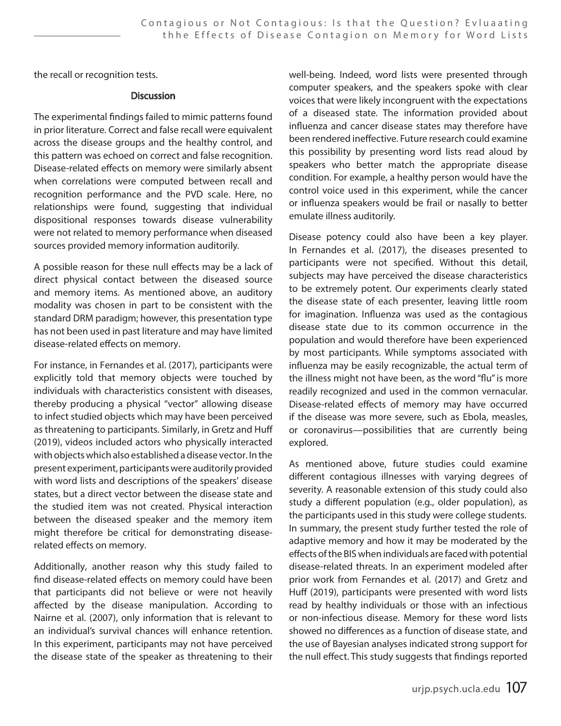the recall or recognition tests.

#### **Discussion**

The experimental findings failed to mimic patterns found in prior literature. Correct and false recall were equivalent across the disease groups and the healthy control, and this pattern was echoed on correct and false recognition. Disease-related effects on memory were similarly absent when correlations were computed between recall and recognition performance and the PVD scale. Here, no relationships were found, suggesting that individual dispositional responses towards disease vulnerability were not related to memory performance when diseased sources provided memory information auditorily.

A possible reason for these null effects may be a lack of direct physical contact between the diseased source and memory items. As mentioned above, an auditory modality was chosen in part to be consistent with the standard DRM paradigm; however, this presentation type has not been used in past literature and may have limited disease-related effects on memory.

For instance, in Fernandes et al. (2017), participants were explicitly told that memory objects were touched by individuals with characteristics consistent with diseases, thereby producing a physical "vector" allowing disease to infect studied objects which may have been perceived as threatening to participants. Similarly, in Gretz and Huff (2019), videos included actors who physically interacted with objects which also established a disease vector. In the present experiment, participants were auditorily provided with word lists and descriptions of the speakers' disease states, but a direct vector between the disease state and the studied item was not created. Physical interaction between the diseased speaker and the memory item might therefore be critical for demonstrating diseaserelated effects on memory.

Additionally, another reason why this study failed to find disease-related effects on memory could have been that participants did not believe or were not heavily affected by the disease manipulation. According to Nairne et al. (2007), only information that is relevant to an individual's survival chances will enhance retention. In this experiment, participants may not have perceived the disease state of the speaker as threatening to their

well-being. Indeed, word lists were presented through computer speakers, and the speakers spoke with clear voices that were likely incongruent with the expectations of a diseased state. The information provided about influenza and cancer disease states may therefore have been rendered ineffective. Future research could examine this possibility by presenting word lists read aloud by speakers who better match the appropriate disease condition. For example, a healthy person would have the control voice used in this experiment, while the cancer or influenza speakers would be frail or nasally to better emulate illness auditorily.

Disease potency could also have been a key player. In Fernandes et al. (2017), the diseases presented to participants were not specified. Without this detail, subjects may have perceived the disease characteristics to be extremely potent. Our experiments clearly stated the disease state of each presenter, leaving little room for imagination. Influenza was used as the contagious disease state due to its common occurrence in the population and would therefore have been experienced by most participants. While symptoms associated with influenza may be easily recognizable, the actual term of the illness might not have been, as the word "flu" is more readily recognized and used in the common vernacular. Disease-related effects of memory may have occurred if the disease was more severe, such as Ebola, measles, or coronavirus—possibilities that are currently being explored.

As mentioned above, future studies could examine different contagious illnesses with varying degrees of severity. A reasonable extension of this study could also study a different population (e.g., older population), as the participants used in this study were college students. In summary, the present study further tested the role of adaptive memory and how it may be moderated by the effects of the BIS when individuals are faced with potential disease-related threats. In an experiment modeled after prior work from Fernandes et al. (2017) and Gretz and Huff (2019), participants were presented with word lists read by healthy individuals or those with an infectious or non-infectious disease. Memory for these word lists showed no differences as a function of disease state, and the use of Bayesian analyses indicated strong support for the null effect. This study suggests that findings reported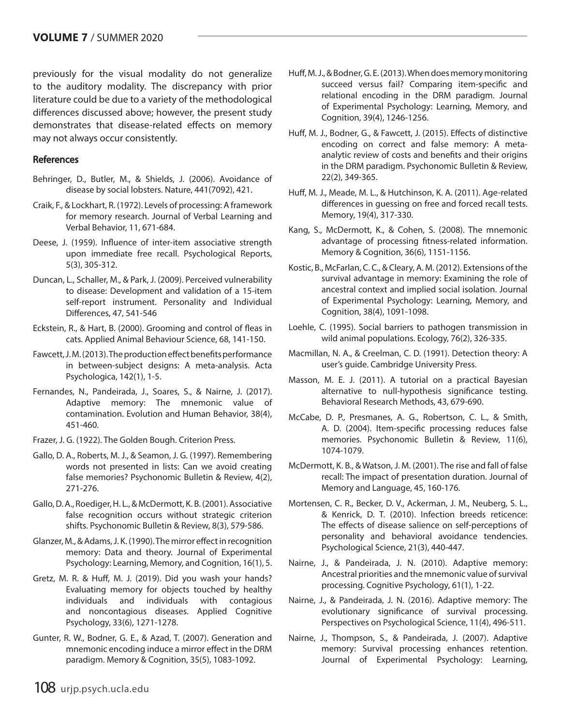previously for the visual modality do not generalize to the auditory modality. The discrepancy with prior literature could be due to a variety of the methodological differences discussed above; however, the present study demonstrates that disease-related effects on memory may not always occur consistently.

#### References

- Behringer, D., Butler, M., & Shields, J. (2006). Avoidance of disease by social lobsters. Nature, 441(7092), 421.
- Craik, F., & Lockhart, R. (1972). Levels of processing: A framework for memory research. Journal of Verbal Learning and Verbal Behavior, 11, 671-684.
- Deese, J. (1959). Influence of inter-item associative strength upon immediate free recall. Psychological Reports, 5(3), 305-312.
- Duncan, L., Schaller, M., & Park, J. (2009). Perceived vulnerability to disease: Development and validation of a 15-item self-report instrument. Personality and Individual Differences, 47, 541-546
- Eckstein, R., & Hart, B. (2000). Grooming and control of fleas in cats. Applied Animal Behaviour Science, 68, 141-150.
- Fawcett, J. M. (2013). The production effect benefits performance in between-subject designs: A meta-analysis. Acta Psychologica, 142(1), 1-5.
- Fernandes, N., Pandeirada, J., Soares, S., & Nairne, J. (2017). Adaptive memory: The mnemonic value of contamination. Evolution and Human Behavior, 38(4), 451-460.
- Frazer, J. G. (1922). The Golden Bough. Criterion Press.
- Gallo, D. A., Roberts, M. J., & Seamon, J. G. (1997). Remembering words not presented in lists: Can we avoid creating false memories? Psychonomic Bulletin & Review, 4(2), 271-276.
- Gallo, D. A., Roediger, H. L., & McDermott, K. B. (2001). Associative false recognition occurs without strategic criterion shifts. Psychonomic Bulletin & Review, 8(3), 579-586.
- Glanzer, M., & Adams, J. K. (1990). The mirror effect in recognition memory: Data and theory. Journal of Experimental Psychology: Learning, Memory, and Cognition, 16(1), 5.
- Gretz, M. R. & Huff, M. J. (2019). Did you wash your hands? Evaluating memory for objects touched by healthy individuals and individuals with contagious and noncontagious diseases. Applied Cognitive Psychology, 33(6), 1271-1278.
- Gunter, R. W., Bodner, G. E., & Azad, T. (2007). Generation and mnemonic encoding induce a mirror effect in the DRM paradigm. Memory & Cognition, 35(5), 1083-1092.
- Huff, M. J., & Bodner, G. E. (2013). When does memory monitoring succeed versus fail? Comparing item-specific and relational encoding in the DRM paradigm. Journal of Experimental Psychology: Learning, Memory, and Cognition, 39(4), 1246-1256.
- Huff, M. J., Bodner, G., & Fawcett, J. (2015). Effects of distinctive encoding on correct and false memory: A metaanalytic review of costs and benefits and their origins in the DRM paradigm. Psychonomic Bulletin & Review, 22(2), 349-365.
- Huff, M. J., Meade, M. L., & Hutchinson, K. A. (2011). Age-related differences in guessing on free and forced recall tests. Memory, 19(4), 317-330.
- Kang, S., McDermott, K., & Cohen, S. (2008). The mnemonic advantage of processing fitness-related information. Memory & Cognition, 36(6), 1151-1156.
- Kostic, B., McFarlan, C. C., & Cleary, A. M. (2012). Extensions of the survival advantage in memory: Examining the role of ancestral context and implied social isolation. Journal of Experimental Psychology: Learning, Memory, and Cognition, 38(4), 1091-1098.
- Loehle, C. (1995). Social barriers to pathogen transmission in wild animal populations. Ecology, 76(2), 326-335.
- Macmillan, N. A., & Creelman, C. D. (1991). Detection theory: A user's guide. Cambridge University Press.
- Masson, M. E. J. (2011). A tutorial on a practical Bayesian alternative to null-hypothesis significance testing. Behavioral Research Methods, 43, 679-690.
- McCabe, D. P., Presmanes, A. G., Robertson, C. L., & Smith, A. D. (2004). Item-specific processing reduces false memories. Psychonomic Bulletin & Review, 11(6), 1074-1079.
- McDermott, K. B., & Watson, J. M. (2001). The rise and fall of false recall: The impact of presentation duration. Journal of Memory and Language, 45, 160-176.
- Mortensen, C. R., Becker, D. V., Ackerman, J. M., Neuberg, S. L., & Kenrick, D. T. (2010). Infection breeds reticence: The effects of disease salience on self-perceptions of personality and behavioral avoidance tendencies. Psychological Science, 21(3), 440-447.
- Nairne, J., & Pandeirada, J. N. (2010). Adaptive memory: Ancestral priorities and the mnemonic value of survival processing. Cognitive Psychology, 61(1), 1-22.
- Nairne, J., & Pandeirada, J. N. (2016). Adaptive memory: The evolutionary significance of survival processing. Perspectives on Psychological Science, 11(4), 496-511.
- Nairne, J., Thompson, S., & Pandeirada, J. (2007). Adaptive memory: Survival processing enhances retention. Journal of Experimental Psychology: Learning,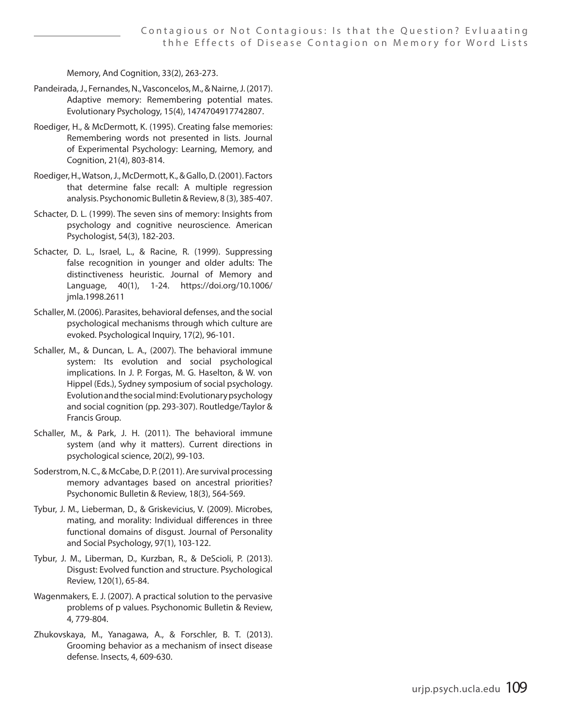Memory, And Cognition, 33(2), 263-273.

- Pandeirada, J., Fernandes, N., Vasconcelos, M., & Nairne, J. (2017). Adaptive memory: Remembering potential mates. Evolutionary Psychology, 15(4), 1474704917742807.
- Roediger, H., & McDermott, K. (1995). Creating false memories: Remembering words not presented in lists. Journal of Experimental Psychology: Learning, Memory, and Cognition, 21(4), 803-814.
- Roediger, H., Watson, J., McDermott, K., & Gallo, D. (2001). Factors that determine false recall: A multiple regression analysis. Psychonomic Bulletin & Review, 8 (3), 385-407.
- Schacter, D. L. (1999). The seven sins of memory: Insights from psychology and cognitive neuroscience. American Psychologist, 54(3), 182-203.
- Schacter, D. L., Israel, L., & Racine, R. (1999). Suppressing false recognition in younger and older adults: The distinctiveness heuristic. Journal of Memory and Language, 40(1), 1-24. https://doi.org/10.1006/ jmla.1998.2611
- Schaller, M. (2006). Parasites, behavioral defenses, and the social psychological mechanisms through which culture are evoked. Psychological Inquiry, 17(2), 96-101.
- Schaller, M., & Duncan, L. A., (2007). The behavioral immune system: Its evolution and social psychological implications. In J. P. Forgas, M. G. Haselton, & W. von Hippel (Eds.), Sydney symposium of social psychology. Evolution and the social mind: Evolutionary psychology and social cognition (pp. 293-307). Routledge/Taylor & Francis Group.
- Schaller, M., & Park, J. H. (2011). The behavioral immune system (and why it matters). Current directions in psychological science, 20(2), 99-103.
- Soderstrom, N. C., & McCabe, D. P. (2011). Are survival processing memory advantages based on ancestral priorities? Psychonomic Bulletin & Review, 18(3), 564-569.
- Tybur, J. M., Lieberman, D., & Griskevicius, V. (2009). Microbes, mating, and morality: Individual differences in three functional domains of disgust. Journal of Personality and Social Psychology, 97(1), 103-122.
- Tybur, J. M., Liberman, D., Kurzban, R., & DeScioli, P. (2013). Disgust: Evolved function and structure. Psychological Review, 120(1), 65-84.
- Wagenmakers, E. J. (2007). A practical solution to the pervasive problems of p values. Psychonomic Bulletin & Review, 4, 779-804.
- Zhukovskaya, M., Yanagawa, A., & Forschler, B. T. (2013). Grooming behavior as a mechanism of insect disease defense. Insects, 4, 609-630.